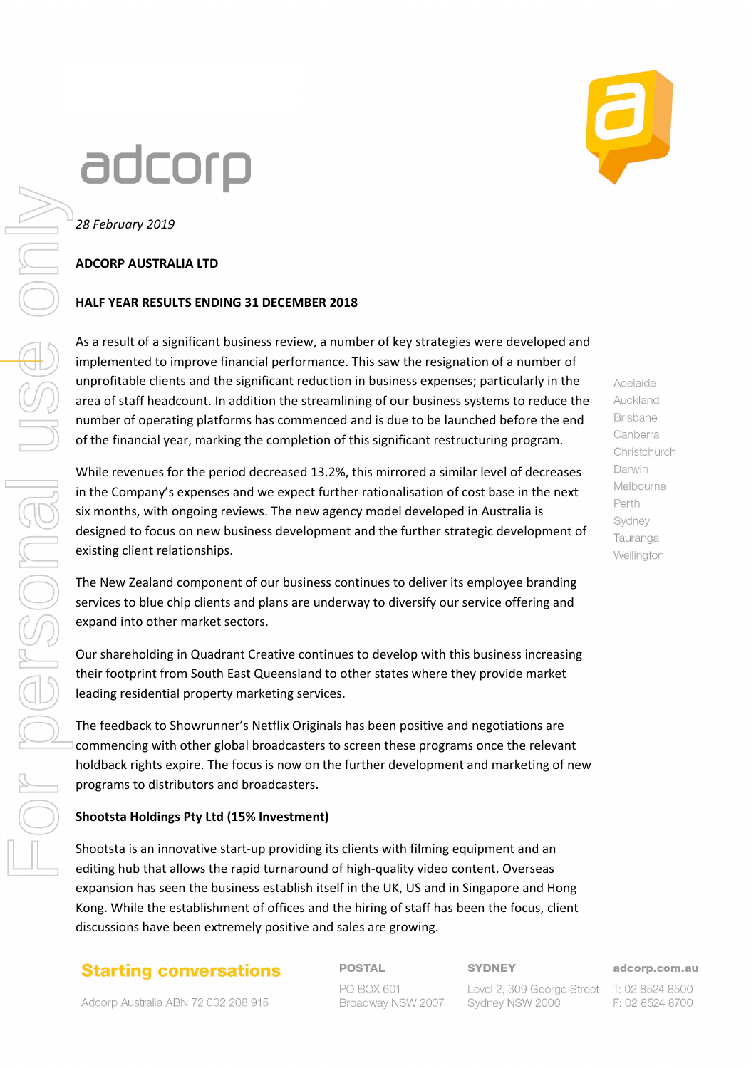# adcorp



*28 February 2019*

#### **ADCORP AUSTRALIA LTD**

#### **HALF YEAR RESULTS ENDING 31 DECEMBER 2018**

As a result of a significant business review, a number of key strategies were developed and implemented to improve financial performance. This saw the resignation of a number of unprofitable clients and the significant reduction in business expenses; particularly in the area of staff headcount. In addition the streamlining of our business systems to reduce the number of operating platforms has commenced and is due to be launched before the end of the financial year, marking the completion of this significant restructuring program.

While revenues for the period decreased 13.2%, this mirrored a similar level of decreases in the Company's expenses and we expect further rationalisation of cost base in the next six months, with ongoing reviews. The new agency model developed in Australia is designed to focus on new business development and the further strategic development of existing client relationships.

The New Zealand component of our business continues to deliver its employee branding services to blue chip clients and plans are underway to diversify our service offering and expand into other market sectors.

Our shareholding in Quadrant Creative continues to develop with this business increasing their footprint from South East Queensland to other states where they provide market leading residential property marketing services.

The feedback to Showrunner's Netflix Originals has been positive and negotiations are commencing with other global broadcasters to screen these programs once the relevant holdback rights expire. The focus is now on the further development and marketing of new programs to distributors and broadcasters.

#### **Shootsta Holdings Pty Ltd (15% Investment)**

Shootsta is an innovative start-up providing its clients with filming equipment and an editing hub that allows the rapid turnaround of high-quality video content. Overseas expansion has seen the business establish itself in the UK, US and in Singapore and Hong Kong. While the establishment of offices and the hiring of staff has been the focus, client discussions have been extremely positive and sales are growing.

#### **Starting conversations**

Adcorp Australia ABN 72 002 208 915

**POSTAL** PO BOX 601 Broadway NSW 2007 **SYDNEY** 

adcorp.com.au

Level 2, 309 George Street T: 02 8524 8500 Sydney NSW 2000

F: 02 8524 8700

Adelaide Auckland **Brisbane** Canberra Christchurch Darwin Melbourne Perth Sydney Tauranga Wellington

For personal use only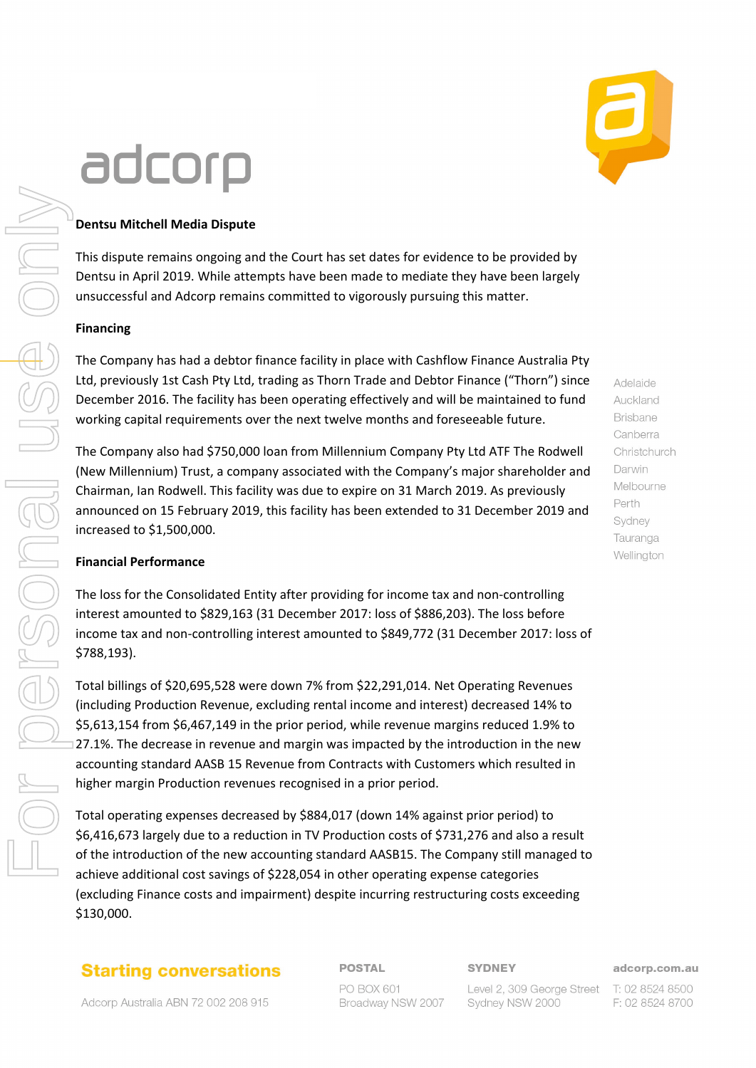# adcorp

# **Dentsu Mitchell Media Dispute**

This dispute remains ongoing and the Court has set dates for evidence to be provided by Dentsu in April 2019. While attempts have been made to mediate they have been largely unsuccessful and Adcorp remains committed to vigorously pursuing this matter.

### **Financing**

The Company has had a debtor finance facility in place with Cashflow Finance Australia Pty Ltd, previously 1st Cash Pty Ltd, trading as Thorn Trade and Debtor Finance ("Thorn") since December 2016. The facility has been operating effectively and will be maintained to fund working capital requirements over the next twelve months and foreseeable future.

The Company also had \$750,000 loan from Millennium Company Pty Ltd ATF The Rodwell (New Millennium) Trust, a company associated with the Company's major shareholder and Chairman, Ian Rodwell. This facility was due to expire on 31 March 2019. As previously announced on 15 February 2019, this facility has been extended to 31 December 2019 and increased to \$1,500,000.

## **Financial Performance**

The loss for the Consolidated Entity after providing for income tax and non-controlling interest amounted to \$829,163 (31 December 2017: loss of \$886,203). The loss before income tax and non-controlling interest amounted to \$849,772 (31 December 2017: loss of \$788,193).

Total billings of \$20,695,528 were down 7% from \$22,291,014. Net Operating Revenues (including Production Revenue, excluding rental income and interest) decreased 14% to \$5,613,154 from \$6,467,149 in the prior period, while revenue margins reduced 1.9% to 27.1%. The decrease in revenue and margin was impacted by the introduction in the new accounting standard AASB 15 Revenue from Contracts with Customers which resulted in higher margin Production revenues recognised in a prior period.

Total operating expenses decreased by \$884,017 (down 14% against prior period) to \$6,416,673 largely due to a reduction in TV Production costs of \$731,276 and also a result of the introduction of the new accounting standard AASB15. The Company still managed to achieve additional cost savings of \$228,054 in other operating expense categories (excluding Finance costs and impairment) despite incurring restructuring costs exceeding \$130,000.

# **Starting conversations**

Adcorp Australia ABN 72 002 208 915

**POSTAL** PO BOX 601 Broadway NSW 2007 **SYDNEY** 

adcorp.com.au

Level 2, 309 George Street T: 02 8524 8500 Sydney NSW 2000

F: 02 8524 8700

Adelaide Auckland **Brisbane** Canberra Christchurch Darwin Melbourne Perth Sydney Tauranga Wellington